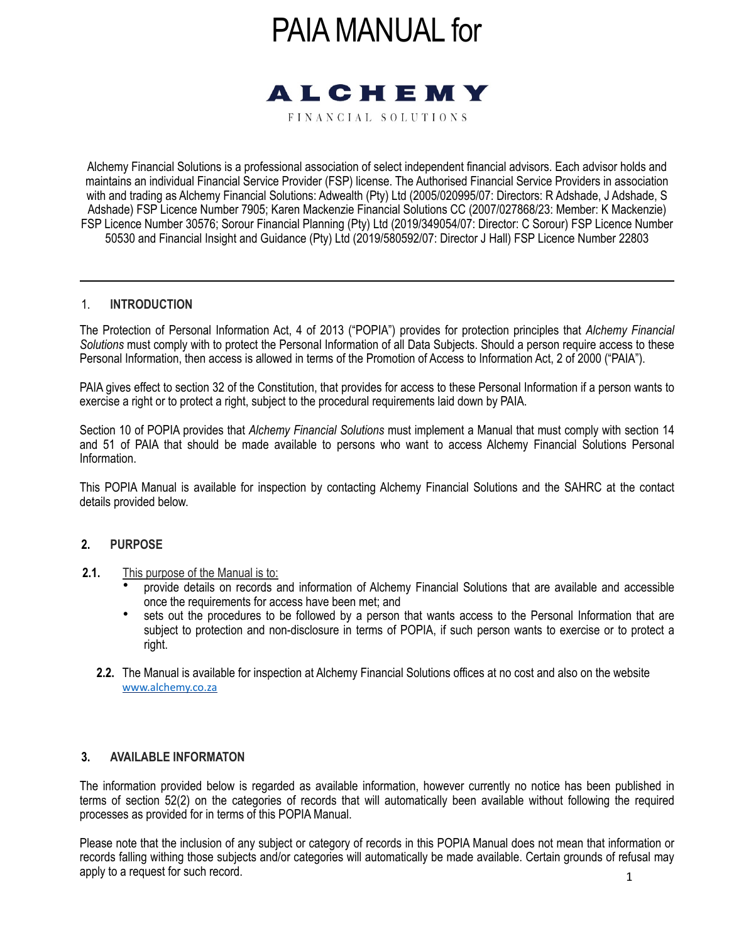# PAIA MANUAL for



FINANCIAL SOLUTIONS

Alchemy Financial Solutions is a professional association of select independent financial advisors. Each advisor holds and maintains an individual Financial Service Provider (FSP) license. The Authorised Financial Service Providers in association with and trading as Alchemy Financial Solutions: Adwealth (Pty) Ltd (2005/020995/07: Directors: R Adshade, J Adshade, S Adshade) FSP Licence Number 7905; Karen Mackenzie Financial Solutions CC (2007/027868/23: Member: K Mackenzie) FSP Licence Number 30576; Sorour Financial Planning (Pty) Ltd (2019/349054/07: Director: C Sorour) FSP Licence Number 50530 and Financial Insight and Guidance (Pty) Ltd (2019/580592/07: Director J Hall) FSP Licence Number 22803

#### 1. **INTRODUCTION**

The Protection of Personal Information Act, 4 of 2013 ("POPIA") provides for protection principles that *Alchemy Financial Solutions* must comply with to protect the Personal Information of all Data Subjects. Should a person require access to these Personal Information, then access is allowed in terms of the Promotion of Access to Information Act, 2 of 2000 ("PAIA").

PAIA gives effect to section 32 of the Constitution, that provides for access to these Personal Information if a person wants to exercise a right or to protect a right, subject to the procedural requirements laid down by PAIA.

Section 10 of POPIA provides that *Alchemy Financial Solutions* must implement a Manual that must comply with section 14 and 51 of PAIA that should be made available to persons who want to access Alchemy Financial Solutions Personal Information.

This POPIA Manual is available for inspection by contacting Alchemy Financial Solutions and the SAHRC at the contact details provided below.

#### **2. PURPOSE**

- **2.1.** This purpose of the Manual is to:
	- provide details on records and information of Alchemy Financial Solutions that are available and accessible once the requirements for access have been met; and
	- sets out the procedures to be followed by a person that wants access to the Personal Information that are subject to protection and non-disclosure in terms of POPIA, if such person wants to exercise or to protect a right.
	- **2.2.** The Manual is available for inspection at Alchemy Financial Solutions offices at no cost and also on the website [www.alchemy.co.za](https://www.alchemy.co.za/)

#### **3. AVAILABLE INFORMATON**

The information provided below is regarded as available information, however currently no notice has been published in terms of section 52(2) on the categories of records that will automatically been available without following the required processes as provided for in terms of this POPIA Manual.

1 Please note that the inclusion of any subject or category of records in this POPIA Manual does not mean that information or records falling withing those subjects and/or categories will automatically be made available. Certain grounds of refusal may apply to a request for such record.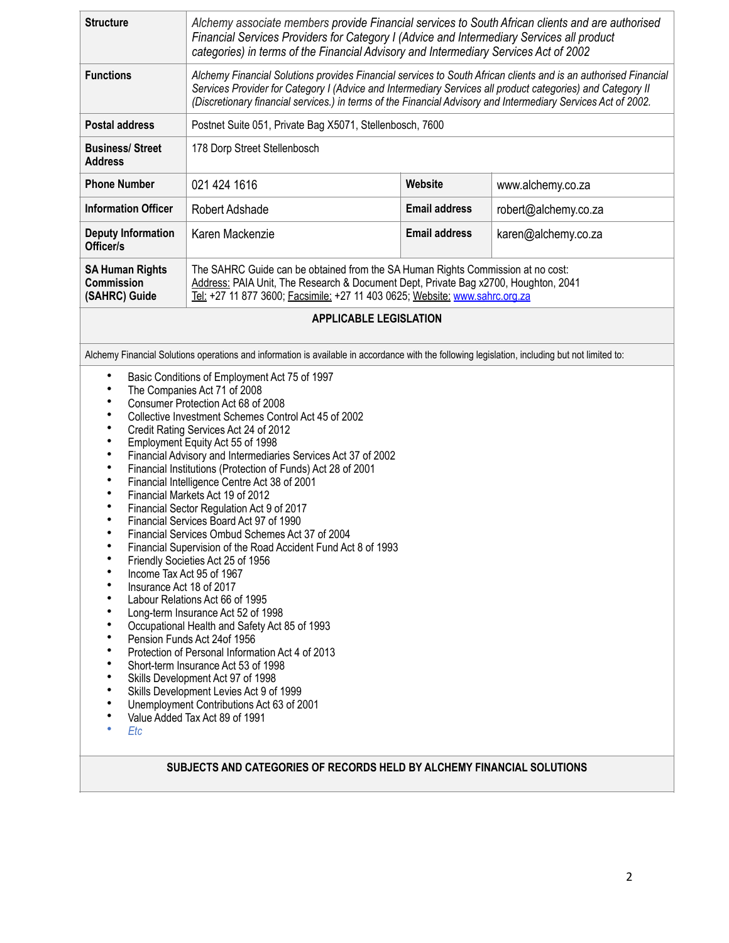| <b>Structure</b><br>Alchemy associate members provide Financial services to South African clients and are authorised<br>Financial Services Providers for Category I (Advice and Intermediary Services all product<br>categories) in terms of the Financial Advisory and Intermediary Services Act of 2002                                                                                                                                                                                                                                                                                                                                                                                                                                                                                                                                                                                                                                                                                                                                                                                                                                                                                                                                                                                                                                                                                                                                                                                  |                                                                                                                                                                                                                                                                                                                                                |                      |                      |  |
|--------------------------------------------------------------------------------------------------------------------------------------------------------------------------------------------------------------------------------------------------------------------------------------------------------------------------------------------------------------------------------------------------------------------------------------------------------------------------------------------------------------------------------------------------------------------------------------------------------------------------------------------------------------------------------------------------------------------------------------------------------------------------------------------------------------------------------------------------------------------------------------------------------------------------------------------------------------------------------------------------------------------------------------------------------------------------------------------------------------------------------------------------------------------------------------------------------------------------------------------------------------------------------------------------------------------------------------------------------------------------------------------------------------------------------------------------------------------------------------------|------------------------------------------------------------------------------------------------------------------------------------------------------------------------------------------------------------------------------------------------------------------------------------------------------------------------------------------------|----------------------|----------------------|--|
| <b>Functions</b>                                                                                                                                                                                                                                                                                                                                                                                                                                                                                                                                                                                                                                                                                                                                                                                                                                                                                                                                                                                                                                                                                                                                                                                                                                                                                                                                                                                                                                                                           | Alchemy Financial Solutions provides Financial services to South African clients and is an authorised Financial<br>Services Provider for Category I (Advice and Intermediary Services all product categories) and Category II<br>(Discretionary financial services.) in terms of the Financial Advisory and Intermediary Services Act of 2002. |                      |                      |  |
| <b>Postal address</b>                                                                                                                                                                                                                                                                                                                                                                                                                                                                                                                                                                                                                                                                                                                                                                                                                                                                                                                                                                                                                                                                                                                                                                                                                                                                                                                                                                                                                                                                      | Postnet Suite 051, Private Bag X5071, Stellenbosch, 7600                                                                                                                                                                                                                                                                                       |                      |                      |  |
| <b>Business/Street</b><br><b>Address</b>                                                                                                                                                                                                                                                                                                                                                                                                                                                                                                                                                                                                                                                                                                                                                                                                                                                                                                                                                                                                                                                                                                                                                                                                                                                                                                                                                                                                                                                   | 178 Dorp Street Stellenbosch                                                                                                                                                                                                                                                                                                                   |                      |                      |  |
| <b>Phone Number</b>                                                                                                                                                                                                                                                                                                                                                                                                                                                                                                                                                                                                                                                                                                                                                                                                                                                                                                                                                                                                                                                                                                                                                                                                                                                                                                                                                                                                                                                                        | 021 424 1616                                                                                                                                                                                                                                                                                                                                   | Website              | www.alchemy.co.za    |  |
| <b>Information Officer</b>                                                                                                                                                                                                                                                                                                                                                                                                                                                                                                                                                                                                                                                                                                                                                                                                                                                                                                                                                                                                                                                                                                                                                                                                                                                                                                                                                                                                                                                                 | Robert Adshade                                                                                                                                                                                                                                                                                                                                 | <b>Email address</b> | robert@alchemy.co.za |  |
| <b>Deputy Information</b><br>Officer/s                                                                                                                                                                                                                                                                                                                                                                                                                                                                                                                                                                                                                                                                                                                                                                                                                                                                                                                                                                                                                                                                                                                                                                                                                                                                                                                                                                                                                                                     | Karen Mackenzie                                                                                                                                                                                                                                                                                                                                | <b>Email address</b> | karen@alchemy.co.za  |  |
| <b>SA Human Rights</b><br>Commission<br>(SAHRC) Guide                                                                                                                                                                                                                                                                                                                                                                                                                                                                                                                                                                                                                                                                                                                                                                                                                                                                                                                                                                                                                                                                                                                                                                                                                                                                                                                                                                                                                                      | The SAHRC Guide can be obtained from the SA Human Rights Commission at no cost:<br>Address: PAIA Unit, The Research & Document Dept, Private Bag x2700, Houghton, 2041<br>Tel: +27 11 877 3600; Facsimile: +27 11 403 0625; Website: www.sahrc.org.za                                                                                          |                      |                      |  |
|                                                                                                                                                                                                                                                                                                                                                                                                                                                                                                                                                                                                                                                                                                                                                                                                                                                                                                                                                                                                                                                                                                                                                                                                                                                                                                                                                                                                                                                                                            | <b>APPLICABLE LEGISLATION</b>                                                                                                                                                                                                                                                                                                                  |                      |                      |  |
|                                                                                                                                                                                                                                                                                                                                                                                                                                                                                                                                                                                                                                                                                                                                                                                                                                                                                                                                                                                                                                                                                                                                                                                                                                                                                                                                                                                                                                                                                            |                                                                                                                                                                                                                                                                                                                                                |                      |                      |  |
| Alchemy Financial Solutions operations and information is available in accordance with the following legislation, including but not limited to:<br>$\bullet$<br>Basic Conditions of Employment Act 75 of 1997<br>$\bullet$<br>The Companies Act 71 of 2008<br>$\bullet$<br>Consumer Protection Act 68 of 2008<br>Collective Investment Schemes Control Act 45 of 2002<br>Credit Rating Services Act 24 of 2012<br>$\bullet$<br>Employment Equity Act 55 of 1998<br>Financial Advisory and Intermediaries Services Act 37 of 2002<br>$\bullet$<br>Financial Institutions (Protection of Funds) Act 28 of 2001<br>$\bullet$<br>Financial Intelligence Centre Act 38 of 2001<br>Financial Markets Act 19 of 2012<br>٠<br>Financial Sector Regulation Act 9 of 2017<br>٠<br>$\bullet$<br>Financial Services Board Act 97 of 1990<br>$\bullet$<br>Financial Services Ombud Schemes Act 37 of 2004<br>Financial Supervision of the Road Accident Fund Act 8 of 1993<br>Friendly Societies Act 25 of 1956<br>Income Tax Act 95 of 1967<br>Insurance Act 18 of 2017<br>٠<br>Labour Relations Act 66 of 1995<br>Long-term Insurance Act 52 of 1998<br>Occupational Health and Safety Act 85 of 1993<br>Pension Funds Act 24of 1956<br>Protection of Personal Information Act 4 of 2013<br>Short-term Insurance Act 53 of 1998<br>Skills Development Act 97 of 1998<br>Skills Development Levies Act 9 of 1999<br>Unemployment Contributions Act 63 of 2001<br>Value Added Tax Act 89 of 1991<br>Etc |                                                                                                                                                                                                                                                                                                                                                |                      |                      |  |
|                                                                                                                                                                                                                                                                                                                                                                                                                                                                                                                                                                                                                                                                                                                                                                                                                                                                                                                                                                                                                                                                                                                                                                                                                                                                                                                                                                                                                                                                                            | SUBJECTS AND CATEGORIES OF RECORDS HELD BY ALCHEMY FINANCIAL SOLUTIONS                                                                                                                                                                                                                                                                         |                      |                      |  |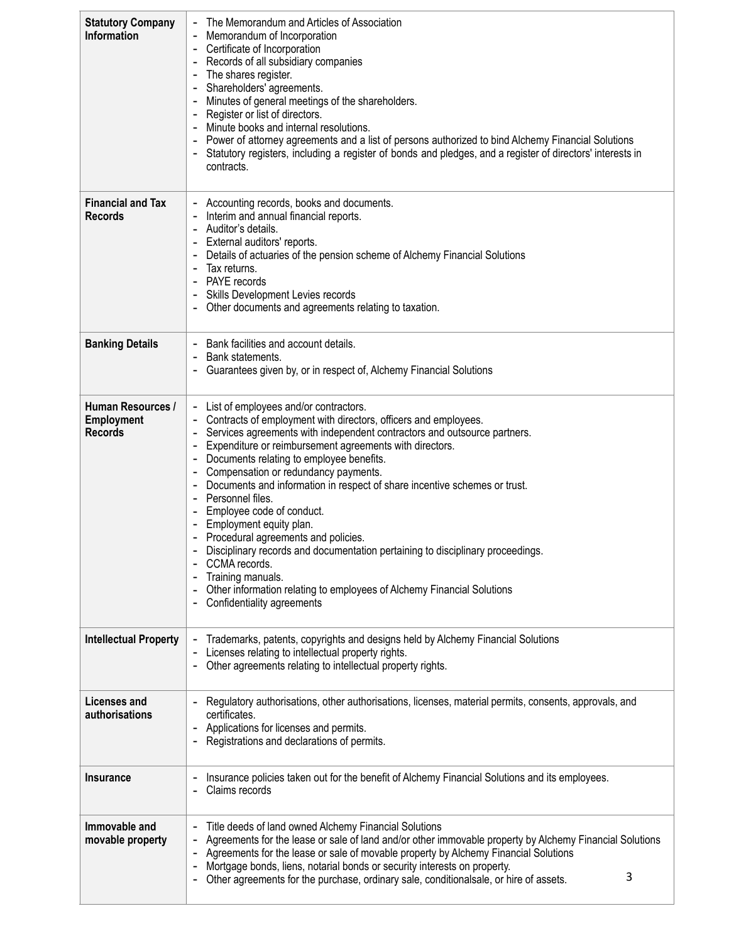| <b>Statutory Company</b><br>Information                  | The Memorandum and Articles of Association<br>Memorandum of Incorporation<br>Certificate of Incorporation<br>Records of all subsidiary companies<br>The shares register.<br>Shareholders' agreements.<br>Minutes of general meetings of the shareholders.<br>Register or list of directors.<br>Minute books and internal resolutions.<br>Power of attorney agreements and a list of persons authorized to bind Alchemy Financial Solutions<br>Statutory registers, including a register of bonds and pledges, and a register of directors' interests in<br>contracts.                                                                                                                                                                                                 |  |  |  |
|----------------------------------------------------------|-----------------------------------------------------------------------------------------------------------------------------------------------------------------------------------------------------------------------------------------------------------------------------------------------------------------------------------------------------------------------------------------------------------------------------------------------------------------------------------------------------------------------------------------------------------------------------------------------------------------------------------------------------------------------------------------------------------------------------------------------------------------------|--|--|--|
| <b>Financial and Tax</b><br><b>Records</b>               | Accounting records, books and documents.<br>Interim and annual financial reports.<br>Auditor's details.<br>External auditors' reports.<br>Details of actuaries of the pension scheme of Alchemy Financial Solutions<br>Tax returns.<br>PAYE records<br>Skills Development Levies records<br>Other documents and agreements relating to taxation.                                                                                                                                                                                                                                                                                                                                                                                                                      |  |  |  |
| <b>Banking Details</b>                                   | Bank facilities and account details.<br>Bank statements.<br>Guarantees given by, or in respect of, Alchemy Financial Solutions                                                                                                                                                                                                                                                                                                                                                                                                                                                                                                                                                                                                                                        |  |  |  |
| Human Resources /<br><b>Employment</b><br><b>Records</b> | - List of employees and/or contractors.<br>Contracts of employment with directors, officers and employees.<br>Services agreements with independent contractors and outsource partners.<br>Expenditure or reimbursement agreements with directors.<br>Documents relating to employee benefits.<br>Compensation or redundancy payments.<br>Documents and information in respect of share incentive schemes or trust.<br>Personnel files.<br>Employee code of conduct.<br>Employment equity plan.<br>Procedural agreements and policies.<br>Disciplinary records and documentation pertaining to disciplinary proceedings.<br>CCMA records.<br>Training manuals.<br>Other information relating to employees of Alchemy Financial Solutions<br>Confidentiality agreements |  |  |  |
| <b>Intellectual Property</b>                             | Trademarks, patents, copyrights and designs held by Alchemy Financial Solutions<br>Licenses relating to intellectual property rights.<br>Other agreements relating to intellectual property rights.                                                                                                                                                                                                                                                                                                                                                                                                                                                                                                                                                                   |  |  |  |
| <b>Licenses and</b><br>authorisations                    | Regulatory authorisations, other authorisations, licenses, material permits, consents, approvals, and<br>certificates.<br>Applications for licenses and permits.<br>Registrations and declarations of permits.                                                                                                                                                                                                                                                                                                                                                                                                                                                                                                                                                        |  |  |  |
| <b>Insurance</b>                                         | Insurance policies taken out for the benefit of Alchemy Financial Solutions and its employees.<br>Claims records                                                                                                                                                                                                                                                                                                                                                                                                                                                                                                                                                                                                                                                      |  |  |  |
| Immovable and<br>movable property                        | Title deeds of land owned Alchemy Financial Solutions<br>Agreements for the lease or sale of land and/or other immovable property by Alchemy Financial Solutions<br>Agreements for the lease or sale of movable property by Alchemy Financial Solutions<br>Mortgage bonds, liens, notarial bonds or security interests on property.<br>3<br>Other agreements for the purchase, ordinary sale, conditionalsale, or hire of assets.                                                                                                                                                                                                                                                                                                                                     |  |  |  |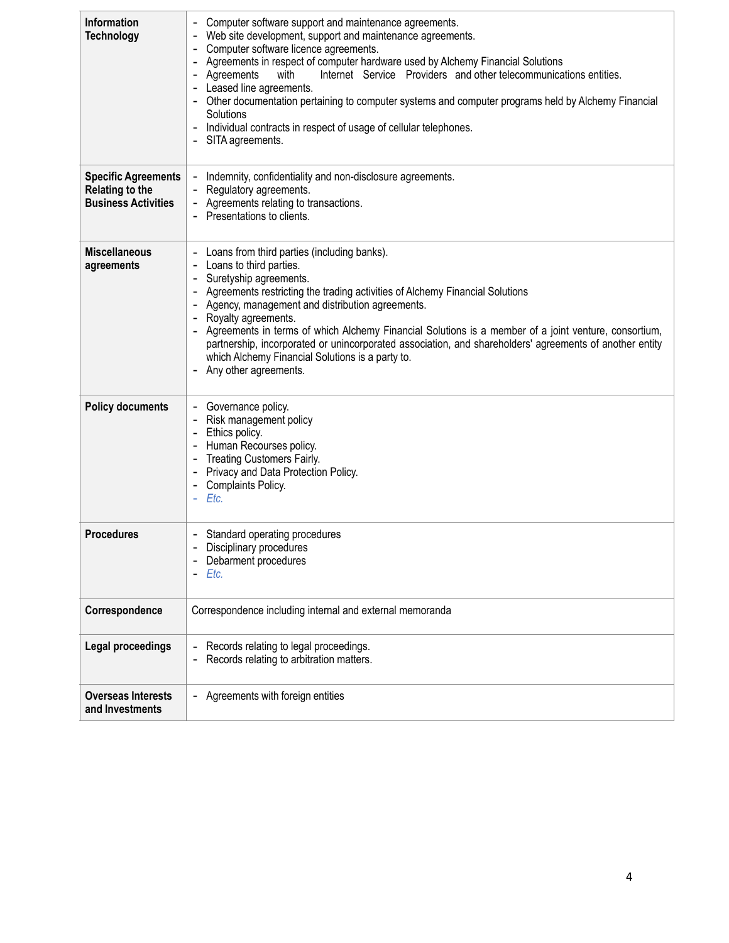| <b>Information</b><br><b>Technology</b>                                            | Computer software support and maintenance agreements.<br>Web site development, support and maintenance agreements.<br>Computer software licence agreements.<br>Agreements in respect of computer hardware used by Alchemy Financial Solutions<br>Agreements<br>Internet Service Providers and other telecommunications entities.<br>with<br>Leased line agreements.<br>Other documentation pertaining to computer systems and computer programs held by Alchemy Financial<br>Solutions<br>Individual contracts in respect of usage of cellular telephones.<br>SITA agreements. |  |  |
|------------------------------------------------------------------------------------|--------------------------------------------------------------------------------------------------------------------------------------------------------------------------------------------------------------------------------------------------------------------------------------------------------------------------------------------------------------------------------------------------------------------------------------------------------------------------------------------------------------------------------------------------------------------------------|--|--|
| <b>Specific Agreements</b><br><b>Relating to the</b><br><b>Business Activities</b> | Indemnity, confidentiality and non-disclosure agreements.<br>۰<br>Regulatory agreements.<br>Agreements relating to transactions.<br>Presentations to clients.                                                                                                                                                                                                                                                                                                                                                                                                                  |  |  |
| <b>Miscellaneous</b><br>agreements                                                 | Loans from third parties (including banks).<br>Loans to third parties.<br>Suretyship agreements.<br>Agreements restricting the trading activities of Alchemy Financial Solutions<br>Agency, management and distribution agreements.<br>Royalty agreements.<br>Agreements in terms of which Alchemy Financial Solutions is a member of a joint venture, consortium,<br>partnership, incorporated or unincorporated association, and shareholders' agreements of another entity<br>which Alchemy Financial Solutions is a party to.<br>Any other agreements.                     |  |  |
| <b>Policy documents</b>                                                            | Governance policy.<br>Risk management policy<br>Ethics policy.<br>Human Recourses policy.<br><b>Treating Customers Fairly.</b><br>Privacy and Data Protection Policy.<br>Complaints Policy.<br>Etc.<br>٠                                                                                                                                                                                                                                                                                                                                                                       |  |  |
| <b>Procedures</b>                                                                  | - Standard operating procedures<br>Disciplinary procedures<br>Debarment procedures<br>Etc.                                                                                                                                                                                                                                                                                                                                                                                                                                                                                     |  |  |
| Correspondence                                                                     | Correspondence including internal and external memoranda                                                                                                                                                                                                                                                                                                                                                                                                                                                                                                                       |  |  |
| Legal proceedings                                                                  | Records relating to legal proceedings.<br>Records relating to arbitration matters.                                                                                                                                                                                                                                                                                                                                                                                                                                                                                             |  |  |
| <b>Overseas Interests</b><br>and Investments                                       | - Agreements with foreign entities                                                                                                                                                                                                                                                                                                                                                                                                                                                                                                                                             |  |  |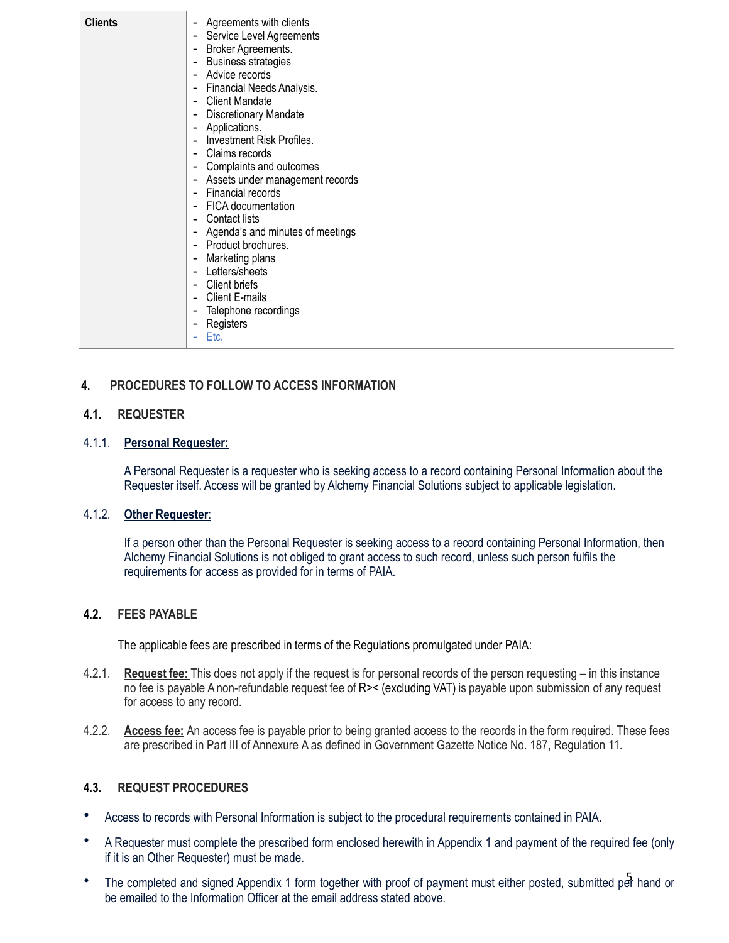| <b>Clients</b> | Agreements with clients<br>$\overline{\phantom{a}}$         |
|----------------|-------------------------------------------------------------|
|                | Service Level Agreements<br>$\overline{\phantom{a}}$        |
|                | Broker Agreements.<br>$\overline{\phantom{a}}$              |
|                | <b>Business strategies</b><br>-                             |
|                | Advice records<br>$\overline{a}$                            |
|                | Financial Needs Analysis.<br>-                              |
|                | <b>Client Mandate</b><br>-                                  |
|                | <b>Discretionary Mandate</b><br>٠                           |
|                | Applications.<br>۰                                          |
|                | Investment Risk Profiles.<br>$\blacksquare$                 |
|                | Claims records<br>$\overline{\phantom{a}}$                  |
|                | Complaints and outcomes<br>-                                |
|                | Assets under management records<br>$\overline{\phantom{a}}$ |
|                | Financial records<br>$\overline{a}$                         |
|                | FICA documentation<br>$\overline{\phantom{a}}$              |
|                | Contact lists<br>٠                                          |
|                | Agenda's and minutes of meetings<br>٠                       |
|                | Product brochures.<br>$\overline{a}$                        |
|                | Marketing plans<br>٠                                        |
|                | Letters/sheets<br>$\blacksquare$                            |
|                | <b>Client briefs</b><br>$\overline{\phantom{0}}$            |
|                | Client E-mails<br>-                                         |
|                | Telephone recordings<br>-                                   |
|                | Registers<br>-                                              |
|                | Etc.<br>۰                                                   |
|                |                                                             |

# **4. PROCEDURES TO FOLLOW TO ACCESS INFORMATION**

#### **4.1. REQUESTER**

#### 4.1.1. **Personal Requester:**

A Personal Requester is a requester who is seeking access to a record containing Personal Information about the Requester itself. Access will be granted by Alchemy Financial Solutions subject to applicable legislation.

#### 4.1.2. **Other Requester**:

If a person other than the Personal Requester is seeking access to a record containing Personal Information, then Alchemy Financial Solutions is not obliged to grant access to such record, unless such person fulfils the requirements for access as provided for in terms of PAIA.

#### **4.2. FEES PAYABLE**

The applicable fees are prescribed in terms of the Regulations promulgated under PAIA:

- 4.2.1. **Request fee:** This does not apply if the request is for personal records of the person requesting in this instance no fee is payable A non-refundable request fee of R>< (excluding VAT) is payable upon submission of any request for access to any record.
- 4.2.2. **Access fee:** An access fee is payable prior to being granted access to the records in the form required. These fees are prescribed in Part III of Annexure A as defined in Government Gazette Notice No. 187, Regulation 11.

#### **4.3. REQUEST PROCEDURES**

- Access to records with Personal Information is subject to the procedural requirements contained in PAIA.
- A Requester must complete the prescribed form enclosed herewith in Appendix 1 and payment of the required fee (only if it is an Other Requester) must be made.
- The completed and signed Appendix 1 form together with proof of payment must either posted, submitted per hand or be emailed to the Information Officer at the email address stated above.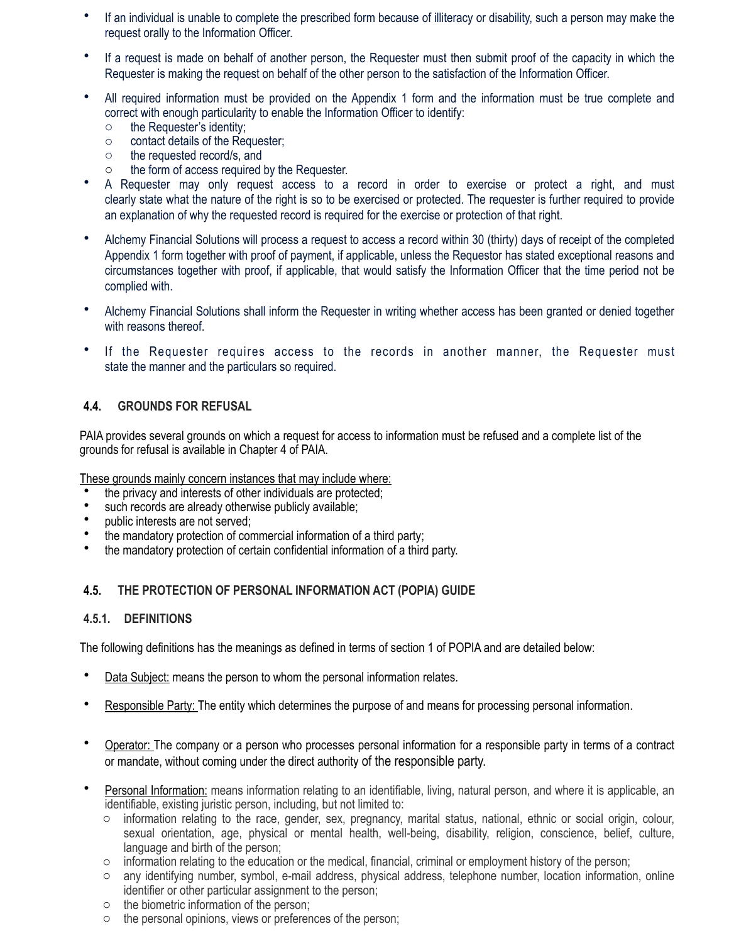- If an individual is unable to complete the prescribed form because of illiteracy or disability, such a person may make the request orally to the Information Officer.
- If a request is made on behalf of another person, the Requester must then submit proof of the capacity in which the Requester is making the request on behalf of the other person to the satisfaction of the Information Officer.
- All required information must be provided on the Appendix 1 form and the information must be true complete and correct with enough particularity to enable the Information Officer to identify:
	- o the Requester's identity;
	- o contact details of the Requester;
	- o the requested record/s, and
	- o the form of access required by the Requester.
- A Requester may only request access to a record in order to exercise or protect a right, and must clearly state what the nature of the right is so to be exercised or protected. The requester is further required to provide an explanation of why the requested record is required for the exercise or protection of that right.
- Alchemy Financial Solutions will process a request to access a record within 30 (thirty) days of receipt of the completed Appendix 1 form together with proof of payment, if applicable, unless the Requestor has stated exceptional reasons and circumstances together with proof, if applicable, that would satisfy the Information Officer that the time period not be complied with.
- Alchemy Financial Solutions shall inform the Requester in writing whether access has been granted or denied together with reasons thereof.
- If the Requester requires access to the records in another manner, the Requester must state the manner and the particulars so required.

# **4.4. GROUNDS FOR REFUSAL**

PAIA provides several grounds on which a request for access to information must be refused and a complete list of the grounds for refusal is available in Chapter 4 of PAIA.

These grounds mainly concern instances that may include where:

- the privacy and interests of other individuals are protected;
- such records are already otherwise publicly available;
- public interests are not served;
- the mandatory protection of commercial information of a third party;<br>• the mandatory protection of certain confidential information of a third
- the mandatory protection of certain confidential information of a third party.

#### **4.5. THE PROTECTION OF PERSONAL INFORMATION ACT (POPIA) GUIDE**

#### **4.5.1. DEFINITIONS**

The following definitions has the meanings as defined in terms of section 1 of POPIA and are detailed below:

- Data Subject: means the person to whom the personal information relates.
- Responsible Party: The entity which determines the purpose of and means for processing personal information.
- Operator: The company or a person who processes personal information for a responsible party in terms of a contract or mandate, without coming under the direct authority of the responsible party.
- Personal Information: means information relating to an identifiable, living, natural person, and where it is applicable, an identifiable, existing juristic person, including, but not limited to:
	- $\circ$  information relating to the race, gender, sex, pregnancy, marital status, national, ethnic or social origin, colour, sexual orientation, age, physical or mental health, well-being, disability, religion, conscience, belief, culture, language and birth of the person;
	- o information relating to the education or the medical, financial, criminal or employment history of the person;
	- 6 o any identifying number, symbol, e-mail address, physical address, telephone number, location information, online identifier or other particular assignment to the person;
	- o the biometric information of the person;
	- o the personal opinions, views or preferences of the person;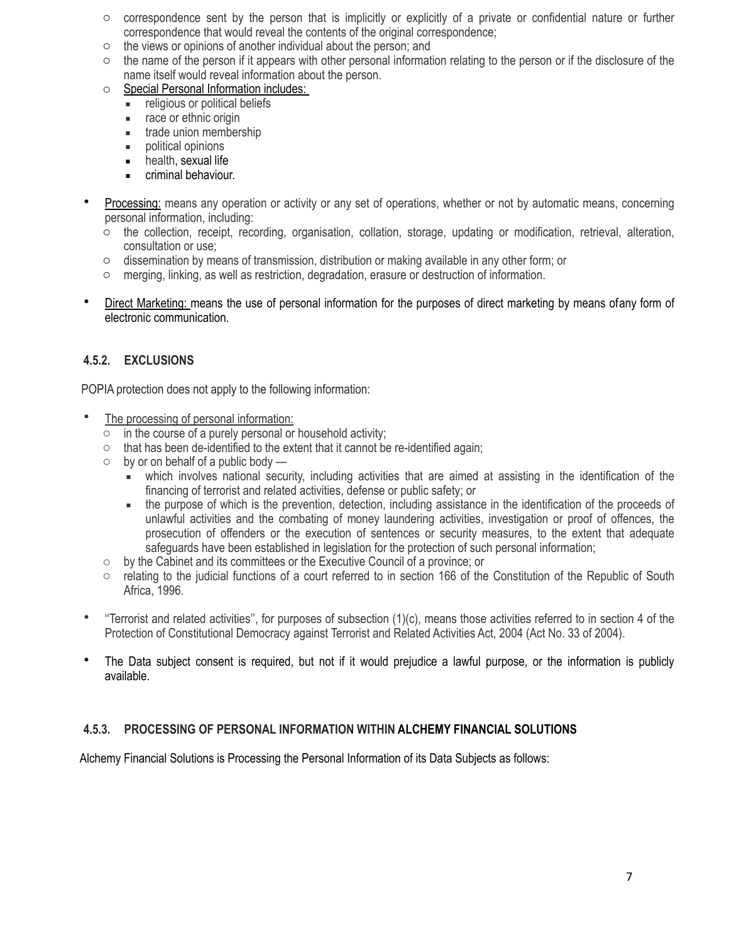- $\circ$  correspondence sent by the person that is implicitly or explicitly of a private or confidential nature or further correspondence that would reveal the contents of the original correspondence;
- o the views or opinions of another individual about the person; and
- $\circ$  the name of the person if it appears with other personal information relating to the person or if the disclosure of the name itself would reveal information about the person.
- o Special Personal Information includes:
	- **EXECUTE:** religious or political beliefs
	- race or ethnic origin
	- **■** trade union membership
	- political opinions
	- health, sexual life
	- **EXECUTE:** criminal behaviour.
- Processing: means any operation or activity or any set of operations, whether or not by automatic means, concerning personal information, including:
	- o the collection, receipt, recording, organisation, collation, storage, updating or modification, retrieval, alteration, consultation or use;
	- o dissemination by means of transmission, distribution or making available in any other form; or
	- o merging, linking, as well as restriction, degradation, erasure or destruction of information.
- Direct Marketing: means the use of personal information for the purposes of direct marketing by means ofany form of electronic communication.

# **4.5.2. EXCLUSIONS**

POPIA protection does not apply to the following information:

- The processing of personal information:
	- $\circ$  in the course of a purely personal or household activity;
	- o that has been de-identified to the extent that it cannot be re-identified again;
	- $\circ$  by or on behalf of a public body
		- which involves national security, including activities that are aimed at assisting in the identification of the financing of terrorist and related activities, defense or public safety; or
		- the purpose of which is the prevention, detection, including assistance in the identification of the proceeds of unlawful activities and the combating of money laundering activities, investigation or proof of offences, the prosecution of offenders or the execution of sentences or security measures, to the extent that adequate safeguards have been established in legislation for the protection of such personal information;
	- o by the Cabinet and its committees or the Executive Council of a province; or
	- o relating to the judicial functions of a court referred to in section 166 of the Constitution of the Republic of South Africa, 1996.
- $\bullet$  "Terrorist and related activities", for purposes of subsection  $(1)(c)$ , means those activities referred to in section 4 of the Protection of Constitutional Democracy against Terrorist and Related Activities Act, 2004 (Act No. 33 of 2004).
- The Data subject consent is required, but not if it would prejudice a lawful purpose, or the information is publicly available.

# **4.5.3. PROCESSING OF PERSONAL INFORMATION WITHIN ALCHEMY FINANCIAL SOLUTIONS**

Alchemy Financial Solutions is Processing the Personal Information of its Data Subjects as follows: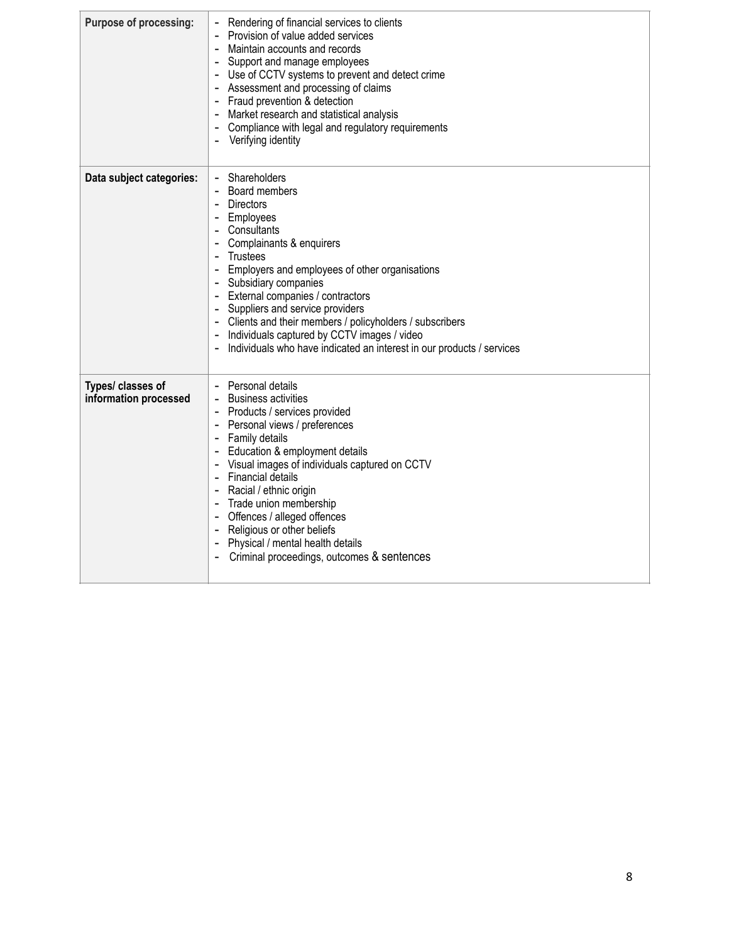| <b>Purpose of processing:</b>              | Rendering of financial services to clients<br>Provision of value added services<br>Maintain accounts and records<br>Support and manage employees<br>- Use of CCTV systems to prevent and detect crime<br>- Assessment and processing of claims<br>- Fraud prevention & detection<br>Market research and statistical analysis<br>Compliance with legal and regulatory requirements<br>$\overline{\phantom{a}}$<br>Verifying identity                                    |
|--------------------------------------------|------------------------------------------------------------------------------------------------------------------------------------------------------------------------------------------------------------------------------------------------------------------------------------------------------------------------------------------------------------------------------------------------------------------------------------------------------------------------|
| Data subject categories:                   | Shareholders<br>Board members<br><b>Directors</b><br>Employees<br>Consultants<br>Complainants & enquirers<br><b>Trustees</b><br>- Employers and employees of other organisations<br>- Subsidiary companies<br>- External companies / contractors<br>Suppliers and service providers<br>Clients and their members / policyholders / subscribers<br>Individuals captured by CCTV images / video<br>Individuals who have indicated an interest in our products / services |
| Types/ classes of<br>information processed | - Personal details<br><b>Business activities</b><br>Products / services provided<br>Personal views / preferences<br>Family details<br>- Education & employment details<br>- Visual images of individuals captured on CCTV<br>- Financial details<br>Racial / ethnic origin<br>- Trade union membership<br>- Offences / alleged offences<br>Religious or other beliefs<br>- Physical / mental health details<br>Criminal proceedings, outcomes & sentences              |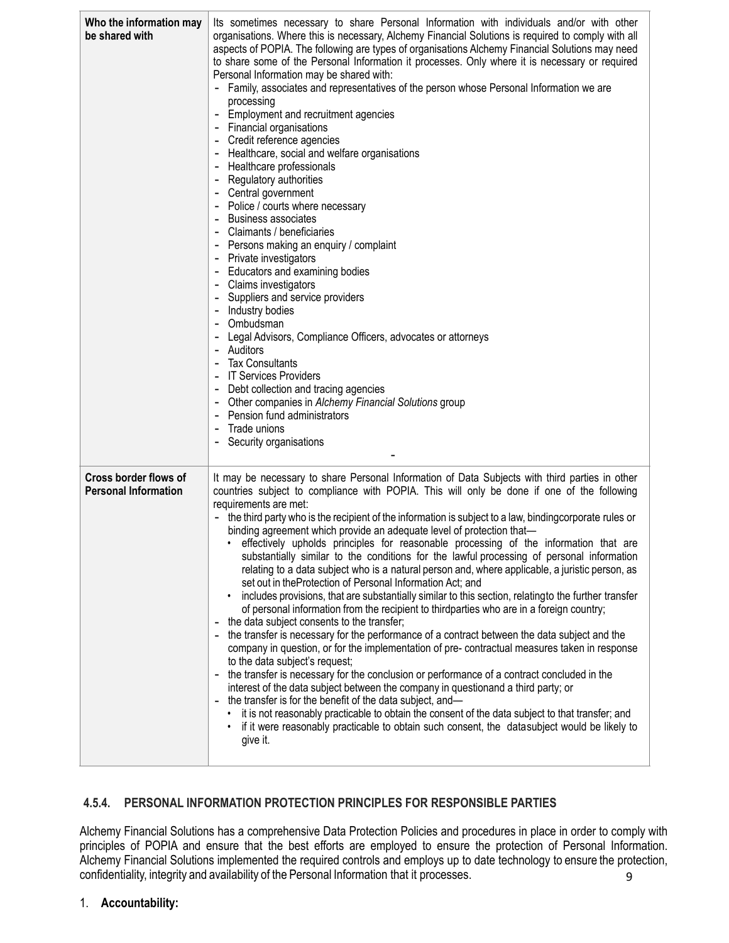| Who the information may<br>be shared with            | Its sometimes necessary to share Personal Information with individuals and/or with other<br>organisations. Where this is necessary, Alchemy Financial Solutions is required to comply with all<br>aspects of POPIA. The following are types of organisations Alchemy Financial Solutions may need<br>to share some of the Personal Information it processes. Only where it is necessary or required<br>Personal Information may be shared with:<br>Family, associates and representatives of the person whose Personal Information we are<br>processing<br>Employment and recruitment agencies<br><b>Financial organisations</b><br>$\overline{\phantom{a}}$<br>Credit reference agencies<br>Healthcare, social and welfare organisations<br>Healthcare professionals<br>Regulatory authorities<br>Central government<br>Police / courts where necessary<br><b>Business associates</b><br>Claimants / beneficiaries<br>Persons making an enquiry / complaint<br>Private investigators<br>Educators and examining bodies<br>Claims investigators<br>Suppliers and service providers<br>Industry bodies<br>Ombudsman<br>Legal Advisors, Compliance Officers, advocates or attorneys<br>Auditors<br><b>Tax Consultants</b><br><b>IT Services Providers</b><br>Debt collection and tracing agencies<br>Other companies in Alchemy Financial Solutions group<br>Pension fund administrators<br>Trade unions<br>Security organisations                                                                                                                                                                                                                                                                                       |
|------------------------------------------------------|------------------------------------------------------------------------------------------------------------------------------------------------------------------------------------------------------------------------------------------------------------------------------------------------------------------------------------------------------------------------------------------------------------------------------------------------------------------------------------------------------------------------------------------------------------------------------------------------------------------------------------------------------------------------------------------------------------------------------------------------------------------------------------------------------------------------------------------------------------------------------------------------------------------------------------------------------------------------------------------------------------------------------------------------------------------------------------------------------------------------------------------------------------------------------------------------------------------------------------------------------------------------------------------------------------------------------------------------------------------------------------------------------------------------------------------------------------------------------------------------------------------------------------------------------------------------------------------------------------------------------------------------------------------------------------------------------------------------|
| Cross border flows of<br><b>Personal Information</b> | It may be necessary to share Personal Information of Data Subjects with third parties in other<br>countries subject to compliance with POPIA. This will only be done if one of the following<br>requirements are met:<br>- the third party who is the recipient of the information is subject to a law, bindingcorporate rules or<br>binding agreement which provide an adequate level of protection that-<br>· effectively upholds principles for reasonable processing of the information that are<br>substantially similar to the conditions for the lawful processing of personal information<br>relating to a data subject who is a natural person and, where applicable, a juristic person, as<br>set out in theProtection of Personal Information Act; and<br>includes provisions, that are substantially similar to this section, relating to the further transfer<br>of personal information from the recipient to thirdparties who are in a foreign country;<br>the data subject consents to the transfer;<br>the transfer is necessary for the performance of a contract between the data subject and the<br>company in question, or for the implementation of pre-contractual measures taken in response<br>to the data subject's request;<br>the transfer is necessary for the conclusion or performance of a contract concluded in the<br>interest of the data subject between the company in questionand a third party; or<br>the transfer is for the benefit of the data subject, and-<br>it is not reasonably practicable to obtain the consent of the data subject to that transfer; and<br>if it were reasonably practicable to obtain such consent, the datasubject would be likely to<br>give it. |

# **4.5.4. PERSONAL INFORMATION PROTECTION PRINCIPLES FOR RESPONSIBLE PARTIES**

9 Alchemy Financial Solutions has a comprehensive Data Protection Policies and procedures in place in order to comply with principles of POPIA and ensure that the best efforts are employed to ensure the protection of Personal Information. Alchemy Financial Solutions implemented the required controls and employs up to date technology to ensure the protection, confidentiality, integrity and availability of the Personal Information that it processes.

# 1. **Accountability:**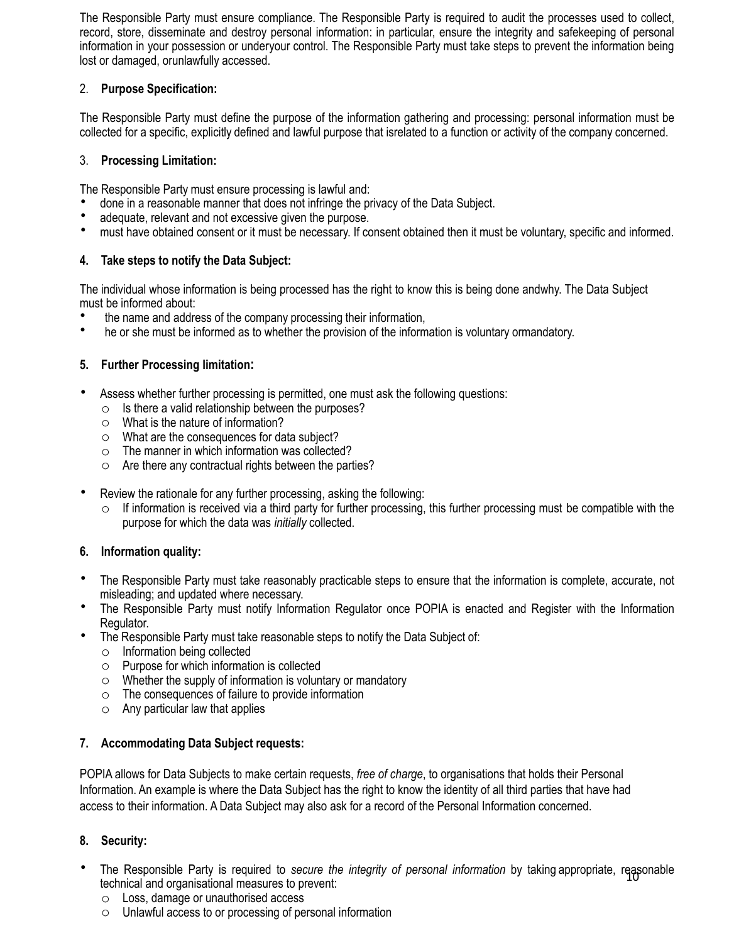The Responsible Party must ensure compliance. The Responsible Party is required to audit the processes used to collect, record, store, disseminate and destroy personal information: in particular, ensure the integrity and safekeeping of personal information in your possession or underyour control. The Responsible Party must take steps to prevent the information being lost or damaged, orunlawfully accessed.

# 2. **Purpose Specification:**

The Responsible Party must define the purpose of the information gathering and processing: personal information must be collected for a specific, explicitly defined and lawful purpose that isrelated to a function or activity of the company concerned.

# 3. **Processing Limitation:**

The Responsible Party must ensure processing is lawful and:

- done in a reasonable manner that does not infringe the privacy of the Data Subject.
- adequate, relevant and not excessive given the purpose.
- must have obtained consent or it must be necessary. If consent obtained then it must be voluntary, specific and informed.

# **4. Take steps to notify the Data Subject:**

The individual whose information is being processed has the right to know this is being done andwhy. The Data Subject must be informed about:

- the name and address of the company processing their information,
- he or she must be informed as to whether the provision of the information is voluntary ormandatory.

# **5. Further Processing limitation:**

- Assess whether further processing is permitted, one must ask the following questions:
	- $\circ$  Is there a valid relationship between the purposes?
	- o What is the nature of information?
	- o What are the consequences for data subject?
	- o The manner in which information was collected?
	- o Are there any contractual rights between the parties?
- Review the rationale for any further processing, asking the following:
	- $\circ$  If information is received via a third party for further processing, this further processing must be compatible with the purpose for which the data was *initially* collected.

# **6. Information quality:**

- The Responsible Party must take reasonably practicable steps to ensure that the information is complete, accurate, not misleading; and updated where necessary.
- The Responsible Party must notify Information Regulator once POPIA is enacted and Register with the Information Regulator.
- The Responsible Party must take reasonable steps to notify the Data Subject of:
	- o Information being collected
	- o Purpose for which information is collected
	- $\circ$  Whether the supply of information is voluntary or mandatory
	- o The consequences of failure to provide information
	- o Any particular law that applies

# **7. Accommodating Data Subject requests:**

POPIA allows for Data Subjects to make certain requests, *free of charge*, to organisations that holds their Personal Information. An example is where the Data Subject has the right to know the identity of all third parties that have had access to their information. A Data Subject may also ask for a record of the Personal Information concerned.

# **8. Security:**

- The Responsible Party is required to *secure the integrity of personal information* by taking appropriate, reasonable<br>technical and organisational measures to prevent: technical and organisational measures to prevent:
	- o Loss, damage or unauthorised access
	- o Unlawful access to or processing of personal information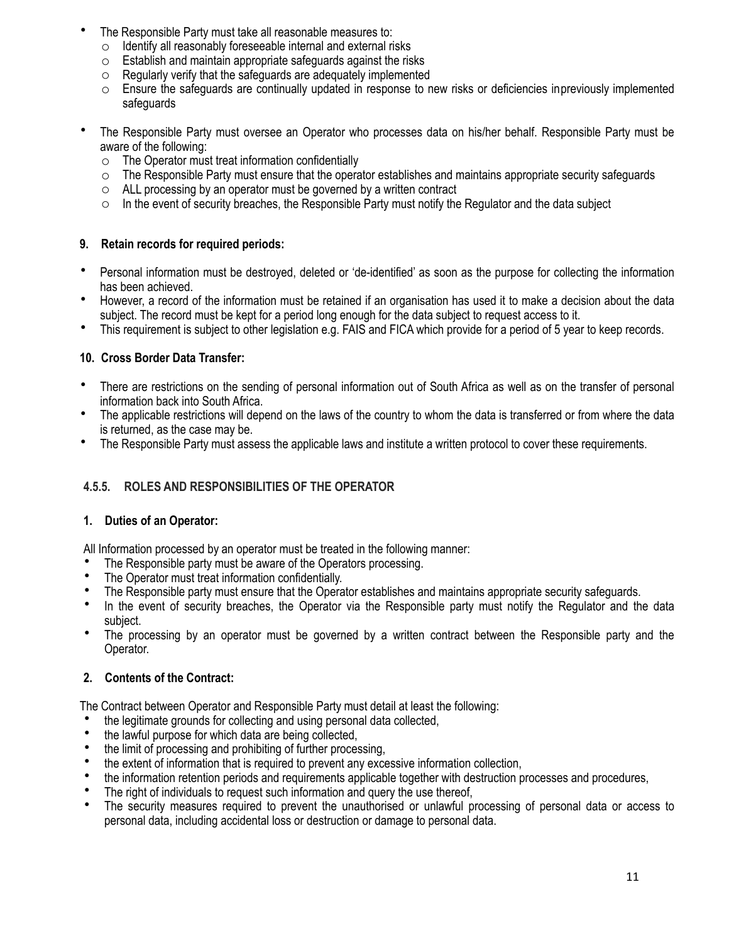- The Responsible Party must take all reasonable measures to:
	- o Identify all reasonably foreseeable internal and external risks
	- o Establish and maintain appropriate safeguards against the risks
	- $\circ$  Regularly verify that the safeguards are adequately implemented
	- o Ensure the safeguards are continually updated in response to new risks or deficiencies inpreviously implemented safeguards
- The Responsible Party must oversee an Operator who processes data on his/her behalf. Responsible Party must be aware of the following:
	- $\circ$  The Operator must treat information confidentially
	- $\circ$  The Responsible Party must ensure that the operator establishes and maintains appropriate security safeguards
	- o ALL processing by an operator must be governed by a written contract
	- o In the event of security breaches, the Responsible Party must notify the Regulator and the data subject

#### **9. Retain records for required periods:**

- Personal information must be destroyed, deleted or 'de-identified' as soon as the purpose for collecting the information has been achieved.
- However, a record of the information must be retained if an organisation has used it to make a decision about the data subject. The record must be kept for a period long enough for the data subject to request access to it.
- This requirement is subject to other legislation e.g. FAIS and FICA which provide for a period of 5 year to keep records.

#### **10. Cross Border Data Transfer:**

- There are restrictions on the sending of personal information out of South Africa as well as on the transfer of personal information back into South Africa.
- The applicable restrictions will depend on the laws of the country to whom the data is transferred or from where the data is returned, as the case may be.
- The Responsible Party must assess the applicable laws and institute a written protocol to cover these requirements.

# **4.5.5. ROLES AND RESPONSIBILITIES OF THE OPERATOR**

#### **1. Duties of an Operator:**

All Information processed by an operator must be treated in the following manner:

- The Responsible party must be aware of the Operators processing.
- The Operator must treat information confidentially.
- The Responsible party must ensure that the Operator establishes and maintains appropriate security safeguards.
- In the event of security breaches, the Operator via the Responsible party must notify the Regulator and the data subject.
- The processing by an operator must be governed by a written contract between the Responsible party and the Operator.

# **2. Contents of the Contract:**

The Contract between Operator and Responsible Party must detail at least the following:

- the legitimate grounds for collecting and using personal data collected,
- the lawful purpose for which data are being collected.
- the limit of processing and prohibiting of further processing,
- the extent of information that is required to prevent any excessive information collection,
- the information retention periods and requirements applicable together with destruction processes and procedures,
- The right of individuals to request such information and query the use thereof,
- The security measures required to prevent the unauthorised or unlawful processing of personal data or access to personal data, including accidental loss or destruction or damage to personal data.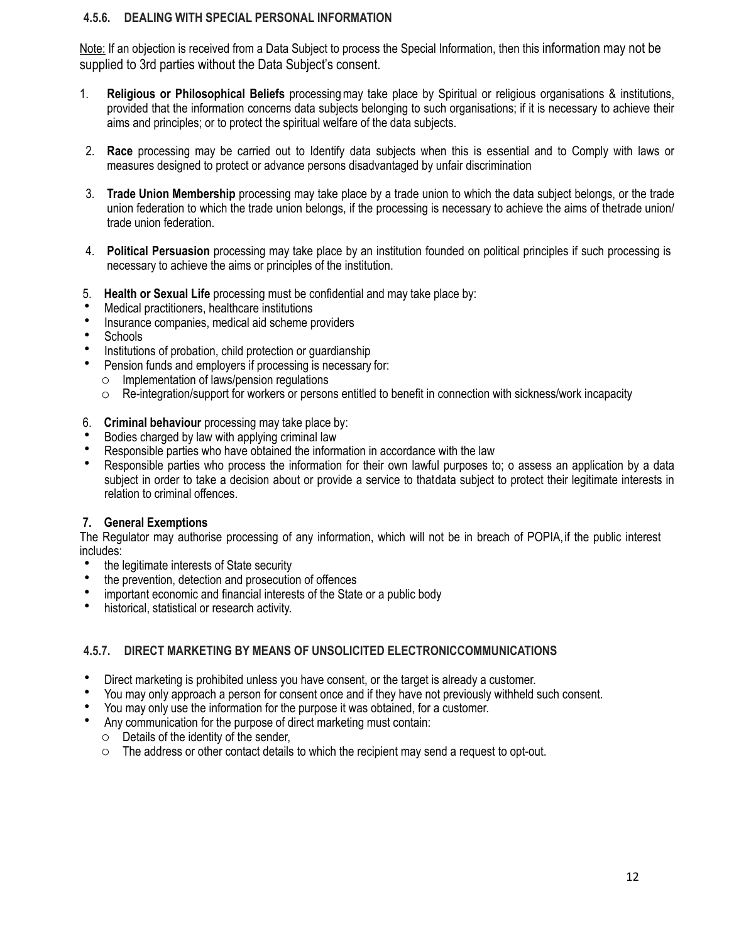#### **4.5.6. DEALING WITH SPECIAL PERSONAL INFORMATION**

Note: If an objection is received from a Data Subject to process the Special Information, then this information may not be supplied to 3rd parties without the Data Subject's consent.

- 1. **Religious or Philosophical Beliefs** processingmay take place by Spiritual or religious organisations & institutions, provided that the information concerns data subjects belonging to such organisations; if it is necessary to achieve their aims and principles; or to protect the spiritual welfare of the data subjects.
- 2. **Race** processing may be carried out to Identify data subjects when this is essential and to Comply with laws or measures designed to protect or advance persons disadvantaged by unfair discrimination
- 3. **Trade Union Membership** processing may take place by a trade union to which the data subject belongs, or the trade union federation to which the trade union belongs, if the processing is necessary to achieve the aims of thetrade union/ trade union federation.
- 4. **Political Persuasion** processing may take place by an institution founded on political principles if such processing is necessary to achieve the aims or principles of the institution.
- 5. **Health or Sexual Life** processing must be confidential and may take place by:
- Medical practitioners, healthcare institutions
- Insurance companies, medical aid scheme providers
- Schools
- Institutions of probation, child protection or guardianship
- Pension funds and employers if processing is necessary for:
- o Implementation of laws/pension regulations
- $\circ$  Re-integration/support for workers or persons entitled to benefit in connection with sickness/work incapacity
- 6. **Criminal behaviour** processing may take place by:
- Bodies charged by law with applying criminal law
- Responsible parties who have obtained the information in accordance with the law
- Responsible parties who process the information for their own lawful purposes to; o assess an application by a data subject in order to take a decision about or provide a service to thatdata subject to protect their legitimate interests in relation to criminal offences.

#### **7. General Exemptions**

The Regulator may authorise processing of any information, which will not be in breach of POPIA,if the public interest includes:

- the legitimate interests of State security
- the prevention, detection and prosecution of offences
- important economic and financial interests of the State or a public body
- historical, statistical or research activity.

# **4.5.7. DIRECT MARKETING BY MEANS OF UNSOLICITED ELECTRONICCOMMUNICATIONS**

- Direct marketing is prohibited unless you have consent, or the target is already a customer.
- You may only approach a person for consent once and if they have not previously withheld such consent.
- You may only use the information for the purpose it was obtained, for a customer.
- Any communication for the purpose of direct marketing must contain:
	- $\circ$  Details of the identity of the sender,
	- $\circ$  The address or other contact details to which the recipient may send a request to opt-out.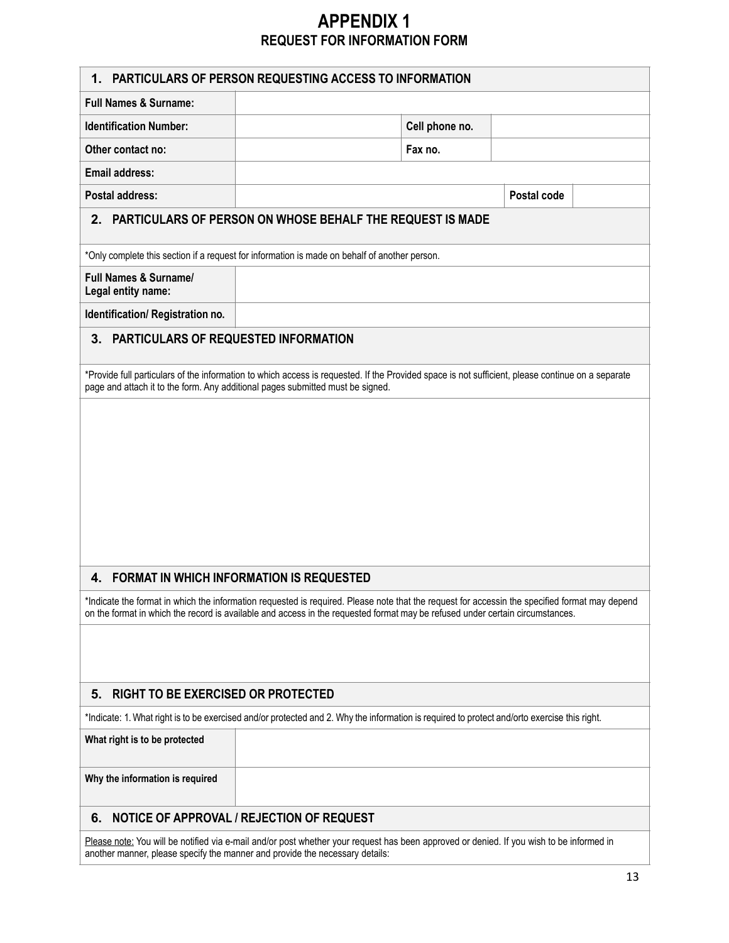# **APPENDIX 1 REQUEST FOR INFORMATION FORM**

| 1.                                                                                                                                           | <b>PARTICULARS OF PERSON REQUESTING ACCESS TO INFORMATION</b>                                                                                                                                                                                                                   |                |             |  |
|----------------------------------------------------------------------------------------------------------------------------------------------|---------------------------------------------------------------------------------------------------------------------------------------------------------------------------------------------------------------------------------------------------------------------------------|----------------|-------------|--|
| <b>Full Names &amp; Surname:</b>                                                                                                             |                                                                                                                                                                                                                                                                                 |                |             |  |
| <b>Identification Number:</b>                                                                                                                |                                                                                                                                                                                                                                                                                 | Cell phone no. |             |  |
| Other contact no:                                                                                                                            |                                                                                                                                                                                                                                                                                 | Fax no.        |             |  |
| <b>Email address:</b>                                                                                                                        |                                                                                                                                                                                                                                                                                 |                |             |  |
| <b>Postal address:</b>                                                                                                                       |                                                                                                                                                                                                                                                                                 |                | Postal code |  |
|                                                                                                                                              | 2. PARTICULARS OF PERSON ON WHOSE BEHALF THE REQUEST IS MADE                                                                                                                                                                                                                    |                |             |  |
|                                                                                                                                              | *Only complete this section if a request for information is made on behalf of another person.                                                                                                                                                                                   |                |             |  |
| <b>Full Names &amp; Surname/</b><br>Legal entity name:                                                                                       |                                                                                                                                                                                                                                                                                 |                |             |  |
| Identification/Registration no.                                                                                                              |                                                                                                                                                                                                                                                                                 |                |             |  |
| PARTICULARS OF REQUESTED INFORMATION<br>3.                                                                                                   |                                                                                                                                                                                                                                                                                 |                |             |  |
|                                                                                                                                              | *Provide full particulars of the information to which access is requested. If the Provided space is not sufficient, please continue on a separate                                                                                                                               |                |             |  |
|                                                                                                                                              | page and attach it to the form. Any additional pages submitted must be signed.                                                                                                                                                                                                  |                |             |  |
|                                                                                                                                              |                                                                                                                                                                                                                                                                                 |                |             |  |
|                                                                                                                                              |                                                                                                                                                                                                                                                                                 |                |             |  |
|                                                                                                                                              |                                                                                                                                                                                                                                                                                 |                |             |  |
|                                                                                                                                              |                                                                                                                                                                                                                                                                                 |                |             |  |
|                                                                                                                                              |                                                                                                                                                                                                                                                                                 |                |             |  |
|                                                                                                                                              |                                                                                                                                                                                                                                                                                 |                |             |  |
|                                                                                                                                              |                                                                                                                                                                                                                                                                                 |                |             |  |
|                                                                                                                                              |                                                                                                                                                                                                                                                                                 |                |             |  |
| $\mathbf{4}$ .                                                                                                                               | <b>FORMAT IN WHICH INFORMATION IS REQUESTED</b>                                                                                                                                                                                                                                 |                |             |  |
|                                                                                                                                              | *Indicate the format in which the information requested is required. Please note that the request for accessin the specified format may depend<br>on the format in which the record is available and access in the requested format may be refused under certain circumstances. |                |             |  |
|                                                                                                                                              |                                                                                                                                                                                                                                                                                 |                |             |  |
|                                                                                                                                              |                                                                                                                                                                                                                                                                                 |                |             |  |
| RIGHT TO BE EXERCISED OR PROTECTED<br>5.                                                                                                     |                                                                                                                                                                                                                                                                                 |                |             |  |
| *Indicate: 1. What right is to be exercised and/or protected and 2. Why the information is required to protect and/orto exercise this right. |                                                                                                                                                                                                                                                                                 |                |             |  |
|                                                                                                                                              |                                                                                                                                                                                                                                                                                 |                |             |  |
| What right is to be protected                                                                                                                |                                                                                                                                                                                                                                                                                 |                |             |  |
| Why the information is required                                                                                                              |                                                                                                                                                                                                                                                                                 |                |             |  |
| 6.                                                                                                                                           | NOTICE OF APPROVAL / REJECTION OF REQUEST                                                                                                                                                                                                                                       |                |             |  |
| Please note: You will be notified via e-mail and/or post whether your request has been approved or denied. If you wish to be informed in     |                                                                                                                                                                                                                                                                                 |                |             |  |

another manner, please specify the manner and provide the necessary details: